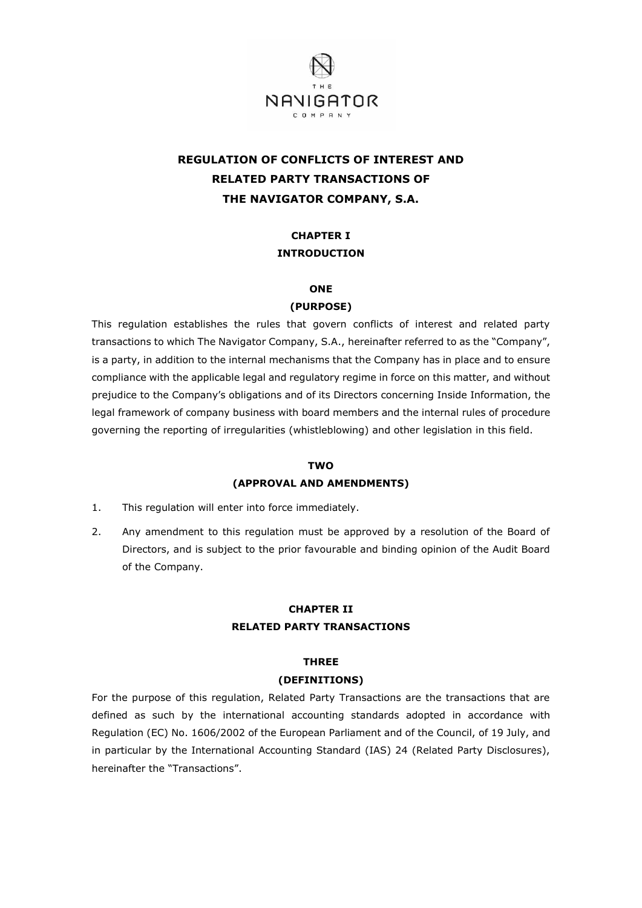

# **REGULATION OF CONFLICTS OF INTEREST AND RELATED PARTY TRANSACTIONS OF THE NAVIGATOR COMPANY, S.A.**

## **CHAPTER I INTRODUCTION**

### **ONE**

#### **(PURPOSE)**

This regulation establishes the rules that govern conflicts of interest and related party transactions to which The Navigator Company, S.A., hereinafter referred to as the "Company", is a party, in addition to the internal mechanisms that the Company has in place and to ensure compliance with the applicable legal and regulatory regime in force on this matter, and without prejudice to the Company's obligations and of its Directors concerning Inside Information, the legal framework of company business with board members and the internal rules of procedure governing the reporting of irregularities (whistleblowing) and other legislation in this field.

#### **TWO**

#### **(APPROVAL AND AMENDMENTS)**

- 1. This regulation will enter into force immediately.
- 2. Any amendment to this regulation must be approved by a resolution of the Board of Directors, and is subject to the prior favourable and binding opinion of the Audit Board of the Company.

### **CHAPTER II RELATED PARTY TRANSACTIONS**

#### **THREE**

#### **(DEFINITIONS)**

For the purpose of this regulation, Related Party Transactions are the transactions that are defined as such by the international accounting standards adopted in accordance with Regulation (EC) No. 1606/2002 of the European Parliament and of the Council, of 19 July, and in particular by the International Accounting Standard (IAS) 24 (Related Party Disclosures), hereinafter the "Transactions".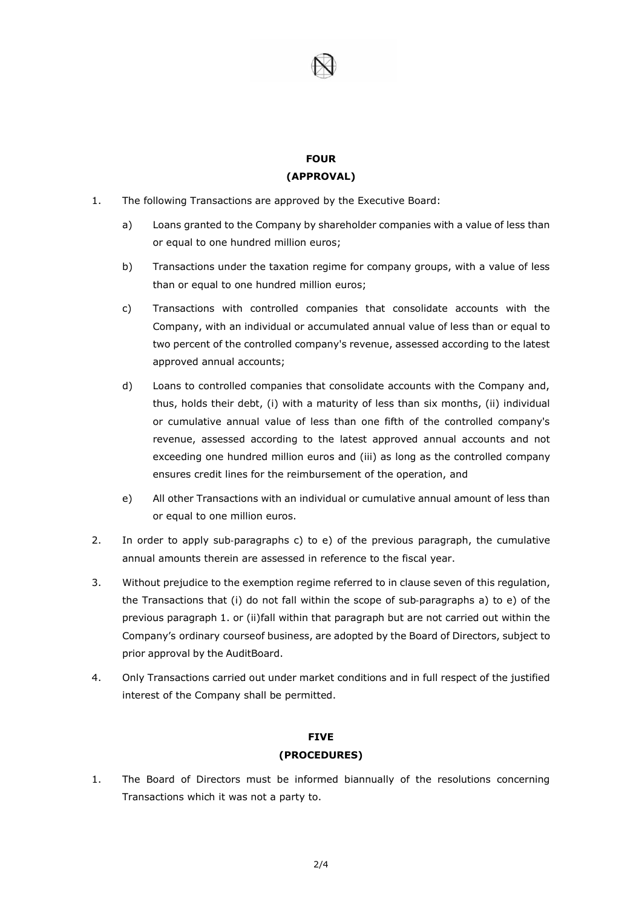

## **FOUR (APPROVAL)**

- 1. The following Transactions are approved by the Executive Board:
	- a) Loans granted to the Company by shareholder companies with a value of less than or equal to one hundred million euros;
	- b) Transactions under the taxation regime for company groups, with a value of less than or equal to one hundred million euros;
	- c) Transactions with controlled companies that consolidate accounts with the Company, with an individual or accumulated annual value of less than or equal to two percent of the controlled company's revenue, assessed according to the latest approved annual accounts;
	- d) Loans to controlled companies that consolidate accounts with the Company and, thus, holds their debt, (i) with a maturity of less than six months, (ii) individual or cumulative annual value of less than one fifth of the controlled company's revenue, assessed according to the latest approved annual accounts and not exceeding one hundred million euros and (iii) as long as the controlled company ensures credit lines for the reimbursement of the operation, and
	- e) All other Transactions with an individual or cumulative annual amount of less than or equal to one million euros.
- 2. In order to apply sub-paragraphs c) to e) of the previous paragraph, the cumulative annual amounts therein are assessed in reference to the fiscal year.
- 3. Without prejudice to the exemption regime referred to in clause seven of this regulation, the Transactions that (i) do not fall within the scope of sub‐paragraphs a) to e) of the previous paragraph 1. or (ii)fall within that paragraph but are not carried out within the Company's ordinary courseof business, are adopted by the Board of Directors, subject to prior approval by the AuditBoard.
- 4. Only Transactions carried out under market conditions and in full respect of the justified interest of the Company shall be permitted.

## **FIVE (PROCEDURES)**

1. The Board of Directors must be informed biannually of the resolutions concerning Transactions which it was not a party to.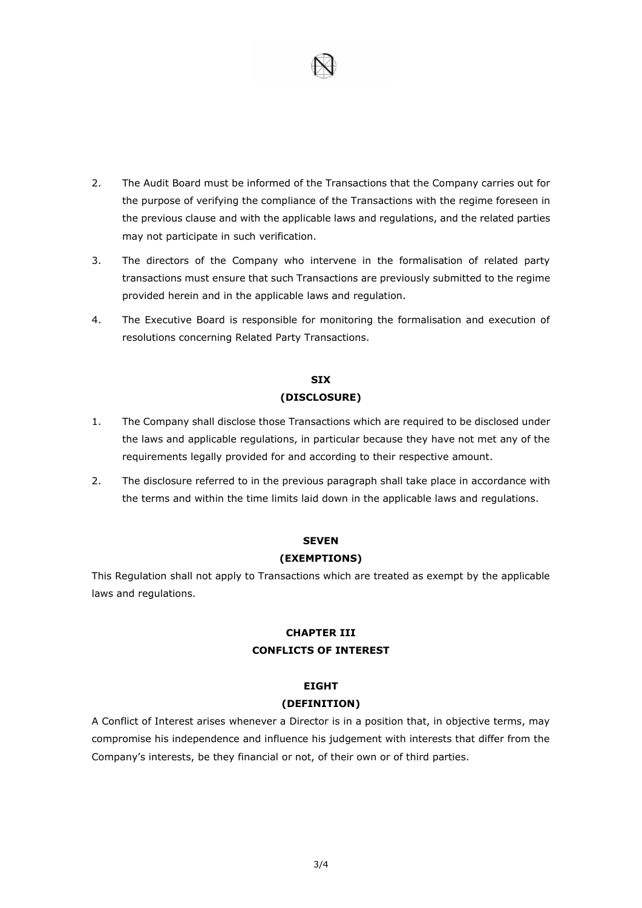

- 2. The Audit Board must be informed of the Transactions that the Company carries out for the purpose of verifying the compliance of the Transactions with the regime foreseen in the previous clause and with the applicable laws and regulations, and the related parties may not participate in such verification.
- 3. The directors of the Company who intervene in the formalisation of related party transactions must ensure that such Transactions are previously submitted to the regime provided herein and in the applicable laws and regulation.
- 4. The Executive Board is responsible for monitoring the formalisation and execution of resolutions concerning Related Party Transactions.

## **SIX (DISCLOSURE)**

- 1. The Company shall disclose those Transactions which are required to be disclosed under the laws and applicable regulations, in particular because they have not met any of the requirements legally provided for and according to their respective amount.
- 2. The disclosure referred to in the previous paragraph shall take place in accordance with the terms and within the time limits laid down in the applicable laws and regulations.

### **SEVEN**

### **(EXEMPTIONS)**

This Regulation shall not apply to Transactions which are treated as exempt by the applicable laws and regulations.

### **CHAPTER III CONFLICTS OF INTEREST**

### **EIGHT**

### **(DEFINITION)**

A Conflict of Interest arises whenever a Director is in a position that, in objective terms, may compromise his independence and influence his judgement with interests that differ from the Company's interests, be they financial or not, of their own or of third parties.